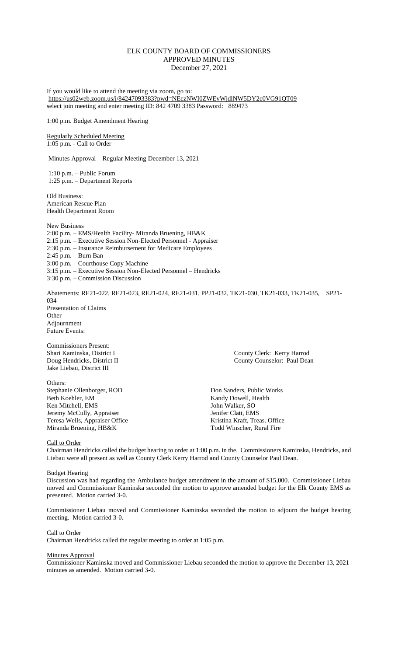# ELK COUNTY BOARD OF COMMISSIONERS APPROVED MINUTES December 27, 2021

If you would like to attend the meeting via zoom, go to: <https://us02web.zoom.us/j/84247093383?pwd=NEczNWI0ZWEvWjdlNW5DY2c0VG91QT09> select join meeting and enter meeting ID: 842 4709 3383 Password: 889473

1:00 p.m. Budget Amendment Hearing

# Regularly Scheduled Meeting 1:05 p.m. - Call to Order

Minutes Approval – Regular Meeting December 13, 2021

1:10 p.m. – Public Forum 1:25 p.m. – Department Reports

Old Business: American Rescue Plan Health Department Room

New Business 2:00 p.m. – EMS/Health Facility- Miranda Bruening, HB&K 2:15 p.m. – Executive Session Non-Elected Personnel - Appraiser 2:30 p.m. – Insurance Reimbursement for Medicare Employees 2:45 p.m. – Burn Ban 3:00 p.m. – Courthouse Copy Machine 3:15 p.m. – Executive Session Non-Elected Personnel – Hendricks 3:30 p.m. – Commission Discussion

Abatements: RE21-022, RE21-023, RE21-024, RE21-031, PP21-032, TK21-030, TK21-033, TK21-035, SP21- 034 Presentation of Claims **Other** Adjournment Future Events:

Commissioners Present: Jake Liebau, District III

Others: Stephanie Ollenborger, ROD Don Sanders, Public Works<br>Beth Koehler, EM Kandy Dowell, Health Ken Mitchell, EMS Jeremy McCully, Appraiser Jenifer Clatt, EMS<br>
Teresa Wells, Appraiser Office Kristina Kraft, Treas. Office Teresa Wells, Appraiser Office Miranda Bruening, HB&K Todd Winscher, Rural Fire

Shari Kaminska, District I County Clerk: Kerry Harrod Doug Hendricks, District II County Counselor: Paul Dean

Kandy Dowell, Health<br>John Walker, SO

# Call to Order

Chairman Hendricks called the budget hearing to order at 1:00 p.m. in the. Commissioners Kaminska, Hendricks, and Liebau were all present as well as County Clerk Kerry Harrod and County Counselor Paul Dean.

# Budget Hearing

Discussion was had regarding the Ambulance budget amendment in the amount of \$15,000. Commissioner Liebau moved and Commissioner Kaminska seconded the motion to approve amended budget for the Elk County EMS as presented. Motion carried 3-0.

Commissioner Liebau moved and Commissioner Kaminska seconded the motion to adjourn the budget hearing meeting. Motion carried 3-0.

# Call to Order

Chairman Hendricks called the regular meeting to order at 1:05 p.m.

## Minutes Approval

Commissioner Kaminska moved and Commissioner Liebau seconded the motion to approve the December 13, 2021 minutes as amended. Motion carried 3-0.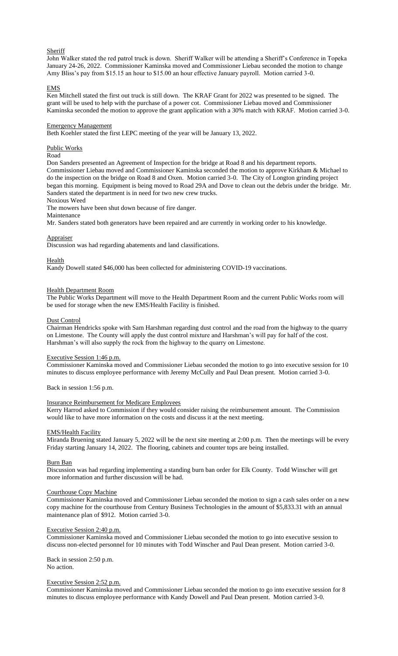# **Sheriff**

John Walker stated the red patrol truck is down. Sheriff Walker will be attending a Sheriff's Conference in Topeka January 24-26, 2022. Commissioner Kaminska moved and Commissioner Liebau seconded the motion to change Amy Bliss's pay from \$15.15 an hour to \$15.00 an hour effective January payroll. Motion carried 3-0.

### EMS

Ken Mitchell stated the first out truck is still down. The KRAF Grant for 2022 was presented to be signed. The grant will be used to help with the purchase of a power cot. Commissioner Liebau moved and Commissioner Kaminska seconded the motion to approve the grant application with a 30% match with KRAF. Motion carried 3-0.

#### Emergency Management

Beth Koehler stated the first LEPC meeting of the year will be January 13, 2022.

Public Works

# Road

Don Sanders presented an Agreement of Inspection for the bridge at Road 8 and his department reports. Commissioner Liebau moved and Commissioner Kaminska seconded the motion to approve Kirkham & Michael to do the inspection on the bridge on Road 8 and Oxen. Motion carried 3-0. The City of Longton grinding project began this morning. Equipment is being moved to Road 29A and Dove to clean out the debris under the bridge. Mr. Sanders stated the department is in need for two new crew trucks.

Noxious Weed

The mowers have been shut down because of fire danger.

Maintenance

Mr. Sanders stated both generators have been repaired and are currently in working order to his knowledge.

Appraiser

Discussion was had regarding abatements and land classifications.

Health

Kandy Dowell stated \$46,000 has been collected for administering COVID-19 vaccinations.

## Health Department Room

The Public Works Department will move to the Health Department Room and the current Public Works room will be used for storage when the new EMS/Health Facility is finished.

### Dust Control

Chairman Hendricks spoke with Sam Harshman regarding dust control and the road from the highway to the quarry on Limestone. The County will apply the dust control mixture and Harshman's will pay for half of the cost. Harshman's will also supply the rock from the highway to the quarry on Limestone.

#### Executive Session 1:46 p.m.

Commissioner Kaminska moved and Commissioner Liebau seconded the motion to go into executive session for 10 minutes to discuss employee performance with Jeremy McCully and Paul Dean present. Motion carried 3-0.

Back in session 1:56 p.m.

# Insurance Reimbursement for Medicare Employees

Kerry Harrod asked to Commission if they would consider raising the reimbursement amount. The Commission would like to have more information on the costs and discuss it at the next meeting.

#### EMS/Health Facility

Miranda Bruening stated January 5, 2022 will be the next site meeting at 2:00 p.m. Then the meetings will be every Friday starting January 14, 2022. The flooring, cabinets and counter tops are being installed.

#### Burn Ban

Discussion was had regarding implementing a standing burn ban order for Elk County. Todd Winscher will get more information and further discussion will be had.

## Courthouse Copy Machine

Commissioner Kaminska moved and Commissioner Liebau seconded the motion to sign a cash sales order on a new copy machine for the courthouse from Century Business Technologies in the amount of \$5,833.31 with an annual maintenance plan of \$912. Motion carried 3-0.

## Executive Session 2:40 p.m.

Commissioner Kaminska moved and Commissioner Liebau seconded the motion to go into executive session to discuss non-elected personnel for 10 minutes with Todd Winscher and Paul Dean present. Motion carried 3-0.

Back in session 2:50 p.m. No action.

#### Executive Session 2:52 p.m.

Commissioner Kaminska moved and Commissioner Liebau seconded the motion to go into executive session for 8 minutes to discuss employee performance with Kandy Dowell and Paul Dean present. Motion carried 3-0.